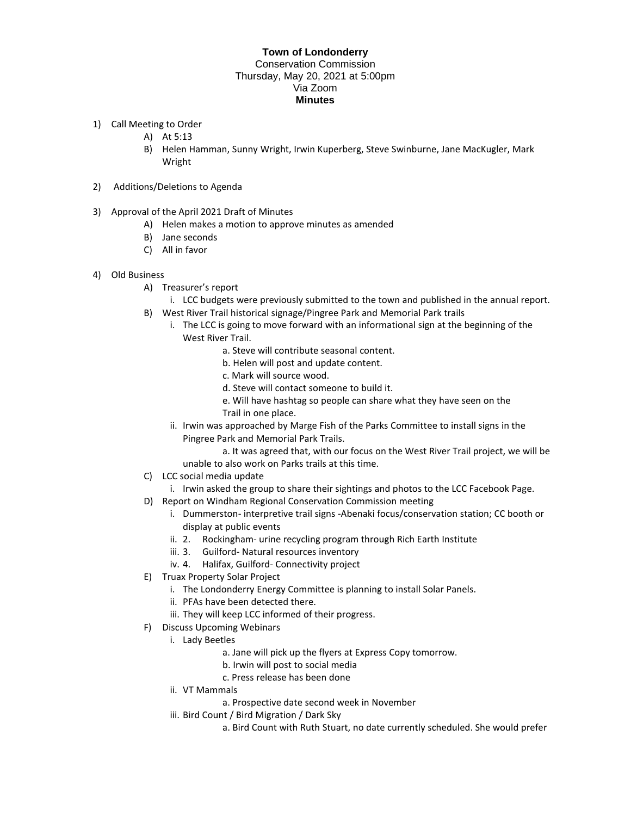## **Town of Londonderry**  Conservation Commission Thursday, May 20, 2021 at 5:00pm Via Zoom **Minutes**

- 1) Call Meeting to Order
	- A) At 5:13
	- B) Helen Hamman, Sunny Wright, Irwin Kuperberg, Steve Swinburne, Jane MacKugler, Mark Wright
- 2) Additions/Deletions to Agenda
- 3) Approval of the April 2021 Draft of Minutes
	- A) Helen makes a motion to approve minutes as amended
	- B) Jane seconds
	- C) All in favor
- 4) Old Business
	- A) Treasurer's report
		- i. LCC budgets were previously submitted to the town and published in the annual report.
	- B) West River Trail historical signage/Pingree Park and Memorial Park trails
		- i. The LCC is going to move forward with an informational sign at the beginning of the West River Trail.
			- a. Steve will contribute seasonal content.
			- b. Helen will post and update content.
			- c. Mark will source wood.
			- d. Steve will contact someone to build it.
			- e. Will have hashtag so people can share what they have seen on the Trail in one place.
		- ii. Irwin was approached by Marge Fish of the Parks Committee to install signs in the Pingree Park and Memorial Park Trails.
			- a. It was agreed that, with our focus on the West River Trail project, we will be unable to also work on Parks trails at this time.
	- C) LCC social media update
	- i. Irwin asked the group to share their sightings and photos to the LCC Facebook Page.
	- D) Report on Windham Regional Conservation Commission meeting
		- i. Dummerston- interpretive trail signs -Abenaki focus/conservation station; CC booth or display at public events
		- ii. 2. Rockingham- urine recycling program through Rich Earth Institute
		- iii. 3. Guilford- Natural resources inventory
		- iv. 4. Halifax, Guilford- Connectivity project
	- E) Truax Property Solar Project
		- i. The Londonderry Energy Committee is planning to install Solar Panels.
		- ii. PFAs have been detected there.
		- iii. They will keep LCC informed of their progress.
	- F) Discuss Upcoming Webinars
		- i. Lady Beetles
			- a. Jane will pick up the flyers at Express Copy tomorrow.
			- b. Irwin will post to social media
			- c. Press release has been done
			- ii. VT Mammals
				- a. Prospective date second week in November
			- iii. Bird Count / Bird Migration / Dark Sky
				- a. Bird Count with Ruth Stuart, no date currently scheduled. She would prefer